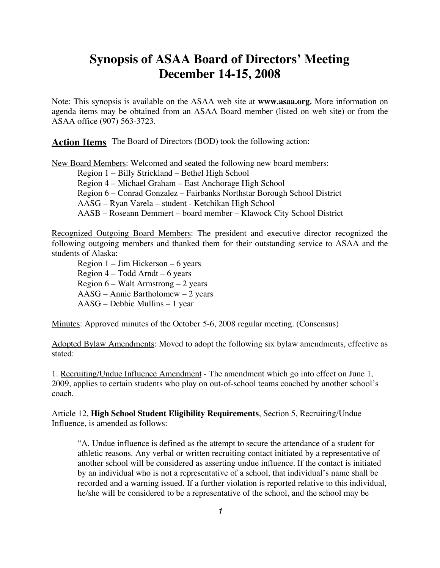# **Synopsis of ASAA Board of Directors' Meeting December 14-15, 2008**

Note: This synopsis is available on the ASAA web site at **www.asaa.org.** More information on agenda items may be obtained from an ASAA Board member (listed on web site) or from the ASAA office (907) 563-3723.

**Action Items** The Board of Directors (BOD) took the following action:

New Board Members: Welcomed and seated the following new board members:

Region 1 – Billy Strickland – Bethel High School Region 4 – Michael Graham – East Anchorage High School Region 6 – Conrad Gonzalez – Fairbanks Northstar Borough School District AASG – Ryan Varela – student - Ketchikan High School AASB – Roseann Demmert – board member – Klawock City School District

Recognized Outgoing Board Members: The president and executive director recognized the following outgoing members and thanked them for their outstanding service to ASAA and the students of Alaska:

Region 1 – Jim Hickerson – 6 years Region  $4 - \text{ Todd Arndt} - 6$  years Region  $6 -$  Walt Armstrong  $-2$  years AASG – Annie Bartholomew – 2 years AASG – Debbie Mullins – 1 year

Minutes: Approved minutes of the October 5-6, 2008 regular meeting. (Consensus)

Adopted Bylaw Amendments: Moved to adopt the following six bylaw amendments, effective as stated:

1. Recruiting/Undue Influence Amendment - The amendment which go into effect on June 1, 2009, applies to certain students who play on out-of-school teams coached by another school's coach.

Article 12, **High School Student Eligibility Requirements**, Section 5, Recruiting/Undue Influence, is amended as follows:

"A. Undue influence is defined as the attempt to secure the attendance of a student for athletic reasons. Any verbal or written recruiting contact initiated by a representative of another school will be considered as asserting undue influence. If the contact is initiated by an individual who is not a representative of a school, that individual's name shall be recorded and a warning issued. If a further violation is reported relative to this individual, he/she will be considered to be a representative of the school, and the school may be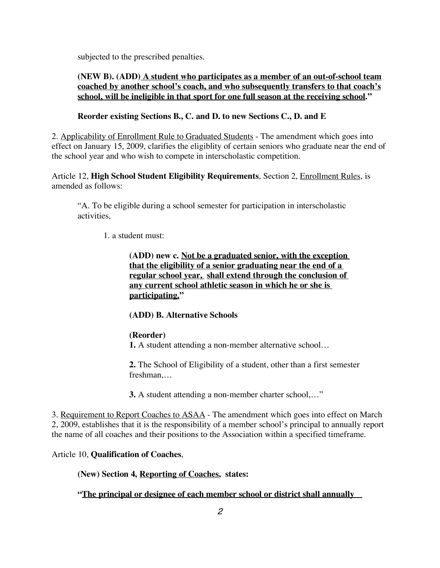subjected to the prescribed penalties.

# **(NEW B). (ADD) A student who participates as a member of an out-of-school team coached by another school's coach, and who subsequently transfers to that coach's school, will be ineligible in that sport for one full season at the receiving school."**

# **Reorder existing Sections B., C. and D. to new Sections C., D. and E**

2. Applicability of Enrollment Rule to Graduated Students - The amendment which goes into effect on January 15, 2009, clarifies the eligiblity of certain seniors who graduate near the end of the school year and who wish to compete in interscholastic competition.

Article 12, **High School Student Eligibility Requirements**, Section 2, Enrollment Rules, is amended as follows:

"A. To be eligible during a school semester for participation in interscholastic activities,

1. a student must:

**(ADD) new c. Not be a graduated senior, with the exception that the eligibility of a senior graduating near the end of a regular school year, shall extend through the conclusion of any current school athletic season in which he or she is participating."**

# **(ADD) B. Alternative Schools**

# **(Reorder)**

**1.** A student attending a non-member alternative school…

**2.** The School of Eligibility of a student, other than a first semester freshman,…

**3.** A student attending a non-member charter school,…"

3. Requirement to Report Coaches to ASAA - The amendment which goes into effect on March 2, 2009, establishes that it is the responsibility of a member school's principal to annually report the name of all coaches and their positions to the Association within a specified timeframe.

Article 10, **Qualification of Coaches**,

#### **(New) Section 4, Reporting of Coaches, states:**

**"The principal or designee of each member school or district shall annually**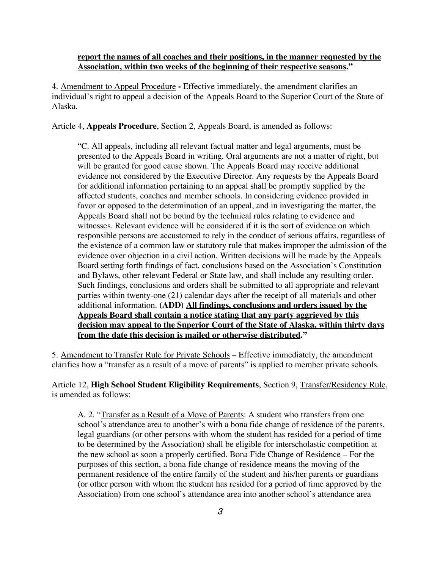#### **report the names of all coaches and their positions, in the manner requested by the Association, within two weeks of the beginning of their respective seasons."**

4. Amendment to Appeal Procedure **-** Effective immediately, the amendment clarifies an individual's right to appeal a decision of the Appeals Board to the Superior Court of the State of Alaska.

Article 4, **Appeals Procedure**, Section 2, Appeals Board, is amended as follows:

"C. All appeals, including all relevant factual matter and legal arguments, must be presented to the Appeals Board in writing. Oral arguments are not a matter of right, but will be granted for good cause shown. The Appeals Board may receive additional evidence not considered by the Executive Director. Any requests by the Appeals Board for additional information pertaining to an appeal shall be promptly supplied by the affected students, coaches and member schools. In considering evidence provided in favor or opposed to the determination of an appeal, and in investigating the matter, the Appeals Board shall not be bound by the technical rules relating to evidence and witnesses. Relevant evidence will be considered if it is the sort of evidence on which responsible persons are accustomed to rely in the conduct of serious affairs, regardless of the existence of a common law or statutory rule that makes improper the admission of the evidence over objection in a civil action. Written decisions will be made by the Appeals Board setting forth findings of fact, conclusions based on the Association's Constitution and Bylaws, other relevant Federal or State law, and shall include any resulting order. Such findings, conclusions and orders shall be submitted to all appropriate and relevant parties within twenty-one (21) calendar days after the receipt of all materials and other additional information. **(ADD) All findings, conclusions and orders issued by the Appeals Board shall contain a notice stating that any party aggrieved by this decision may appeal to the Superior Court of the State of Alaska, within thirty days from the date this decision is mailed or otherwise distributed."**

5. Amendment to Transfer Rule for Private Schools – Effective immediately, the amendment clarifies how a "transfer as a result of a move of parents" is applied to member private schools.

Article 12, **High School Student Eligibility Requirements**, Section 9, Transfer/Residency Rule, is amended as follows:

A. 2. "Transfer as a Result of a Move of Parents: A student who transfers from one school's attendance area to another's with a bona fide change of residence of the parents, legal guardians (or other persons with whom the student has resided for a period of time to be determined by the Association) shall be eligible for interscholastic competition at the new school as soon a properly certified. Bona Fide Change of Residence – For the purposes of this section, a bona fide change of residence means the moving of the permanent residence of the entire family of the student and his/her parents or guardians (or other person with whom the student has resided for a period of time approved by the Association) from one school's attendance area into another school's attendance area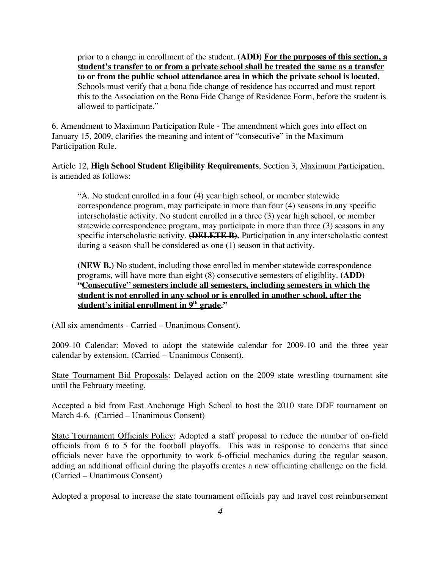prior to a change in enrollment of the student. **(ADD) For the purposes of this section, a student's transfer to or from a private school shall be treated the same as a transfer to or from the public school attendance area in which the private school is located.** Schools must verify that a bona fide change of residence has occurred and must report this to the Association on the Bona Fide Change of Residence Form, before the student is allowed to participate."

6. Amendment to Maximum Participation Rule - The amendment which goes into effect on January 15, 2009, clarifies the meaning and intent of "consecutive" in the Maximum Participation Rule.

Article 12, **High School Student Eligibility Requirements**, Section 3, Maximum Participation, is amended as follows:

"A. No student enrolled in a four (4) year high school, or member statewide correspondence program, may participate in more than four (4) seasons in any specific interscholastic activity. No student enrolled in a three (3) year high school, or member statewide correspondence program, may participate in more than three (3) seasons in any specific interscholastic activity. **(DELETE B).** Participation in <u>any interscholastic contest</u> during a season shall be considered as one (1) season in that activity.

**(NEW B.)** No student, including those enrolled in member statewide correspondence programs, will have more than eight (8) consecutive semesters of eligiblity. **(ADD) "Consecutive" semesters include all semesters, including semesters in which the student is not enrolled in any school or is enrolled in another school, after the student's initial enrollment in 9th grade."**

(All six amendments - Carried – Unanimous Consent).

2009-10 Calendar: Moved to adopt the statewide calendar for 2009-10 and the three year calendar by extension. (Carried – Unanimous Consent).

State Tournament Bid Proposals: Delayed action on the 2009 state wrestling tournament site until the February meeting.

Accepted a bid from East Anchorage High School to host the 2010 state DDF tournament on March 4-6. (Carried – Unanimous Consent)

State Tournament Officials Policy: Adopted a staff proposal to reduce the number of on-field officials from 6 to 5 for the football playoffs. This was in response to concerns that since officials never have the opportunity to work 6-official mechanics during the regular season, adding an additional official during the playoffs creates a new officiating challenge on the field. (Carried – Unanimous Consent)

Adopted a proposal to increase the state tournament officials pay and travel cost reimbursement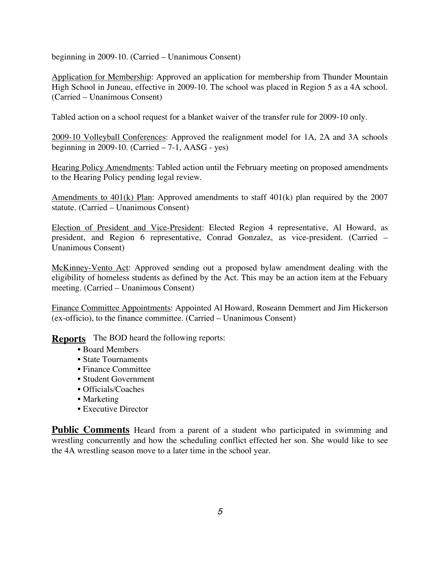beginning in 2009-10. (Carried – Unanimous Consent)

Application for Membership: Approved an application for membership from Thunder Mountain High School in Juneau, effective in 2009-10. The school was placed in Region 5 as a 4A school. (Carried – Unanimous Consent)

Tabled action on a school request for a blanket waiver of the transfer rule for 2009-10 only.

2009-10 Volleyball Conferences: Approved the realignment model for 1A, 2A and 3A schools beginning in 2009-10. (Carried  $-7-1$ , AASG - yes)

Hearing Policy Amendments: Tabled action until the February meeting on proposed amendments to the Hearing Policy pending legal review.

Amendments to 401(k) Plan: Approved amendments to staff 401(k) plan required by the 2007 statute. (Carried – Unanimous Consent)

Election of President and Vice-President: Elected Region 4 representative, Al Howard, as president, and Region 6 representative, Conrad Gonzalez, as vice-president. (Carried – Unanimous Consent)

McKinney-Vento Act: Approved sending out a proposed bylaw amendment dealing with the eligibility of homeless students as defined by the Act. This may be an action item at the Febuary meeting. (Carried – Unanimous Consent)

Finance Committee Appointments: Appointed Al Howard, Roseann Demmert and Jim Hickerson (ex-officio), to the finance committee. (Carried – Unanimous Consent)

**Reports** The BOD heard the following reports:

- Board Members
- State Tournaments
- Finance Committee
- Student Government
- Officials/Coaches
- Marketing
- Executive Director

**Public Comments** Heard from a parent of a student who participated in swimming and wrestling concurrently and how the scheduling conflict effected her son. She would like to see the 4A wrestling season move to a later time in the school year.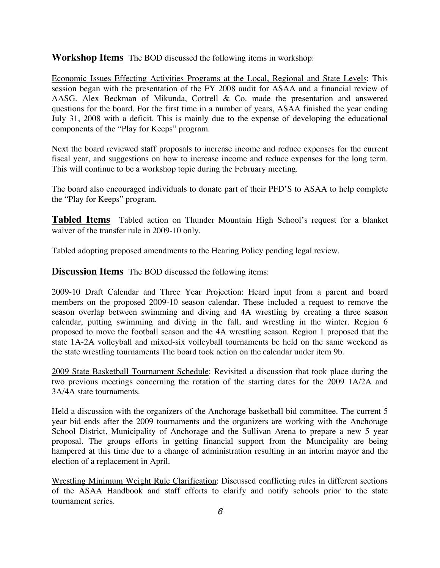**Workshop Items** The BOD discussed the following items in workshop:

Economic Issues Effecting Activities Programs at the Local, Regional and State Levels: This session began with the presentation of the FY 2008 audit for ASAA and a financial review of AASG. Alex Beckman of Mikunda, Cottrell & Co. made the presentation and answered questions for the board. For the first time in a number of years, ASAA finished the year ending July 31, 2008 with a deficit. This is mainly due to the expense of developing the educational components of the "Play for Keeps" program.

Next the board reviewed staff proposals to increase income and reduce expenses for the current fiscal year, and suggestions on how to increase income and reduce expenses for the long term. This will continue to be a workshop topic during the February meeting.

The board also encouraged individuals to donate part of their PFD'S to ASAA to help complete the "Play for Keeps" program.

**Tabled Items** Tabled action on Thunder Mountain High School's request for a blanket waiver of the transfer rule in 2009-10 only.

Tabled adopting proposed amendments to the Hearing Policy pending legal review.

**Discussion Items** The BOD discussed the following items:

2009-10 Draft Calendar and Three Year Projection: Heard input from a parent and board members on the proposed 2009-10 season calendar. These included a request to remove the season overlap between swimming and diving and 4A wrestling by creating a three season calendar, putting swimming and diving in the fall, and wrestling in the winter. Region 6 proposed to move the football season and the 4A wrestling season. Region 1 proposed that the state 1A-2A volleyball and mixed-six volleyball tournaments be held on the same weekend as the state wrestling tournaments The board took action on the calendar under item 9b.

2009 State Basketball Tournament Schedule: Revisited a discussion that took place during the two previous meetings concerning the rotation of the starting dates for the 2009 1A/2A and 3A/4A state tournaments.

Held a discussion with the organizers of the Anchorage basketball bid committee. The current 5 year bid ends after the 2009 tournaments and the organizers are working with the Anchorage School District, Municipality of Anchorage and the Sullivan Arena to prepare a new 5 year proposal. The groups efforts in getting financial support from the Muncipality are being hampered at this time due to a change of administration resulting in an interim mayor and the election of a replacement in April.

Wrestling Minimum Weight Rule Clarification: Discussed conflicting rules in different sections of the ASAA Handbook and staff efforts to clarify and notify schools prior to the state tournament series.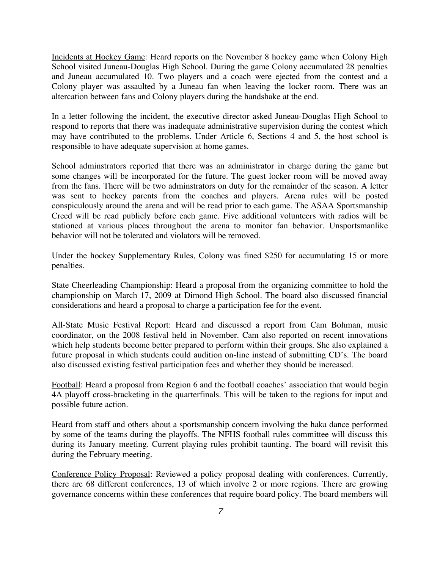Incidents at Hockey Game: Heard reports on the November 8 hockey game when Colony High School visited Juneau-Douglas High School. During the game Colony accumulated 28 penalties and Juneau accumulated 10. Two players and a coach were ejected from the contest and a Colony player was assaulted by a Juneau fan when leaving the locker room. There was an altercation between fans and Colony players during the handshake at the end.

In a letter following the incident, the executive director asked Juneau-Douglas High School to respond to reports that there was inadequate administrative supervision during the contest which may have contributed to the problems. Under Article 6, Sections 4 and 5, the host school is responsible to have adequate supervision at home games.

School adminstrators reported that there was an administrator in charge during the game but some changes will be incorporated for the future. The guest locker room will be moved away from the fans. There will be two adminstrators on duty for the remainder of the season. A letter was sent to hockey parents from the coaches and players. Arena rules will be posted conspiculously around the arena and will be read prior to each game. The ASAA Sportsmanship Creed will be read publicly before each game. Five additional volunteers with radios will be stationed at various places throughout the arena to monitor fan behavior. Unsportsmanlike behavior will not be tolerated and violators will be removed.

Under the hockey Supplementary Rules, Colony was fined \$250 for accumulating 15 or more penalties.

State Cheerleading Championship: Heard a proposal from the organizing committee to hold the championship on March 17, 2009 at Dimond High School. The board also discussed financial considerations and heard a proposal to charge a participation fee for the event.

All-State Music Festival Report: Heard and discussed a report from Cam Bohman, music coordinator, on the 2008 festival held in November. Cam also reported on recent innovations which help students become better prepared to perform within their groups. She also explained a future proposal in which students could audition on-line instead of submitting CD's. The board also discussed existing festival participation fees and whether they should be increased.

Football: Heard a proposal from Region 6 and the football coaches' association that would begin 4A playoff cross-bracketing in the quarterfinals. This will be taken to the regions for input and possible future action.

Heard from staff and others about a sportsmanship concern involving the haka dance performed by some of the teams during the playoffs. The NFHS football rules committee will discuss this during its January meeting. Current playing rules prohibit taunting. The board will revisit this during the February meeting.

Conference Policy Proposal: Reviewed a policy proposal dealing with conferences. Currently, there are 68 different conferences, 13 of which involve 2 or more regions. There are growing governance concerns within these conferences that require board policy. The board members will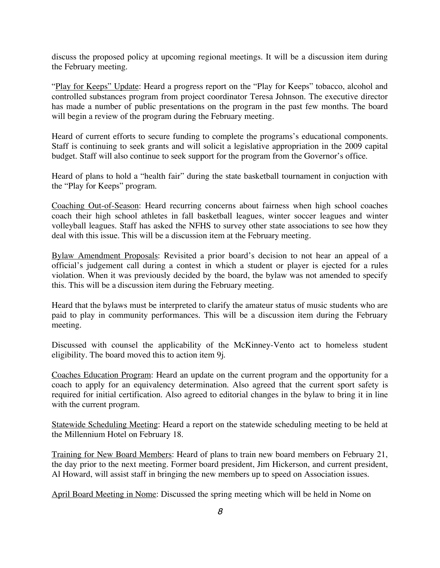discuss the proposed policy at upcoming regional meetings. It will be a discussion item during the February meeting.

"Play for Keeps" Update: Heard a progress report on the "Play for Keeps" tobacco, alcohol and controlled substances program from project coordinator Teresa Johnson. The executive director has made a number of public presentations on the program in the past few months. The board will begin a review of the program during the February meeting.

Heard of current efforts to secure funding to complete the programs's educational components. Staff is continuing to seek grants and will solicit a legislative appropriation in the 2009 capital budget. Staff will also continue to seek support for the program from the Governor's office.

Heard of plans to hold a "health fair" during the state basketball tournament in conjuction with the "Play for Keeps" program.

Coaching Out-of-Season: Heard recurring concerns about fairness when high school coaches coach their high school athletes in fall basketball leagues, winter soccer leagues and winter volleyball leagues. Staff has asked the NFHS to survey other state associations to see how they deal with this issue. This will be a discussion item at the February meeting.

Bylaw Amendment Proposals: Revisited a prior board's decision to not hear an appeal of a official's judgement call during a contest in which a student or player is ejected for a rules violation. When it was previously decided by the board, the bylaw was not amended to specify this. This will be a discussion item during the February meeting.

Heard that the bylaws must be interpreted to clarify the amateur status of music students who are paid to play in community performances. This will be a discussion item during the February meeting.

Discussed with counsel the applicability of the McKinney-Vento act to homeless student eligibility. The board moved this to action item 9j.

Coaches Education Program: Heard an update on the current program and the opportunity for a coach to apply for an equivalency determination. Also agreed that the current sport safety is required for initial certification. Also agreed to editorial changes in the bylaw to bring it in line with the current program.

Statewide Scheduling Meeting: Heard a report on the statewide scheduling meeting to be held at the Millennium Hotel on February 18.

Training for New Board Members: Heard of plans to train new board members on February 21, the day prior to the next meeting. Former board president, Jim Hickerson, and current president, Al Howard, will assist staff in bringing the new members up to speed on Association issues.

April Board Meeting in Nome: Discussed the spring meeting which will be held in Nome on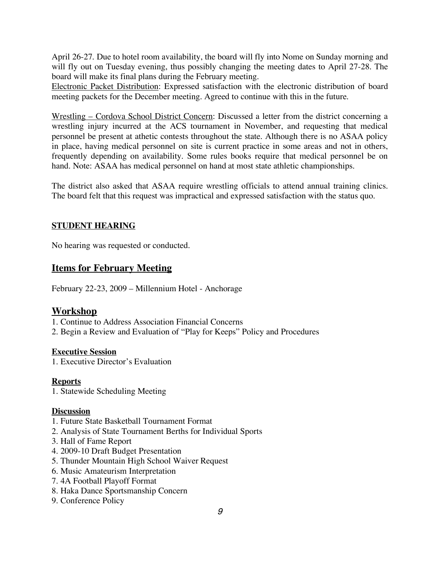April 26-27. Due to hotel room availability, the board will fly into Nome on Sunday morning and will fly out on Tuesday evening, thus possibly changing the meeting dates to April 27-28. The board will make its final plans during the February meeting.

Electronic Packet Distribution: Expressed satisfaction with the electronic distribution of board meeting packets for the December meeting. Agreed to continue with this in the future.

Wrestling – Cordova School District Concern: Discussed a letter from the district concerning a wrestling injury incurred at the ACS tournament in November, and requesting that medical personnel be present at athetic contests throughout the state. Although there is no ASAA policy in place, having medical personnel on site is current practice in some areas and not in others, frequently depending on availability. Some rules books require that medical personnel be on hand. Note: ASAA has medical personnel on hand at most state athletic championships.

The district also asked that ASAA require wrestling officials to attend annual training clinics. The board felt that this request was impractical and expressed satisfaction with the status quo.

# **STUDENT HEARING**

No hearing was requested or conducted.

# **Items for February Meeting**

February 22-23, 2009 – Millennium Hotel - Anchorage

# **Workshop**

1. Continue to Address Association Financial Concerns

2. Begin a Review and Evaluation of "Play for Keeps" Policy and Procedures

# **Executive Session**

1. Executive Director's Evaluation

# **Reports**

1. Statewide Scheduling Meeting

# **Discussion**

- 1. Future State Basketball Tournament Format
- 2. Analysis of State Tournament Berths for Individual Sports
- 3. Hall of Fame Report
- 4. 2009-10 Draft Budget Presentation
- 5. Thunder Mountain High School Waiver Request
- 6. Music Amateurism Interpretation
- 7. 4A Football Playoff Format
- 8. Haka Dance Sportsmanship Concern
- 9. Conference Policy